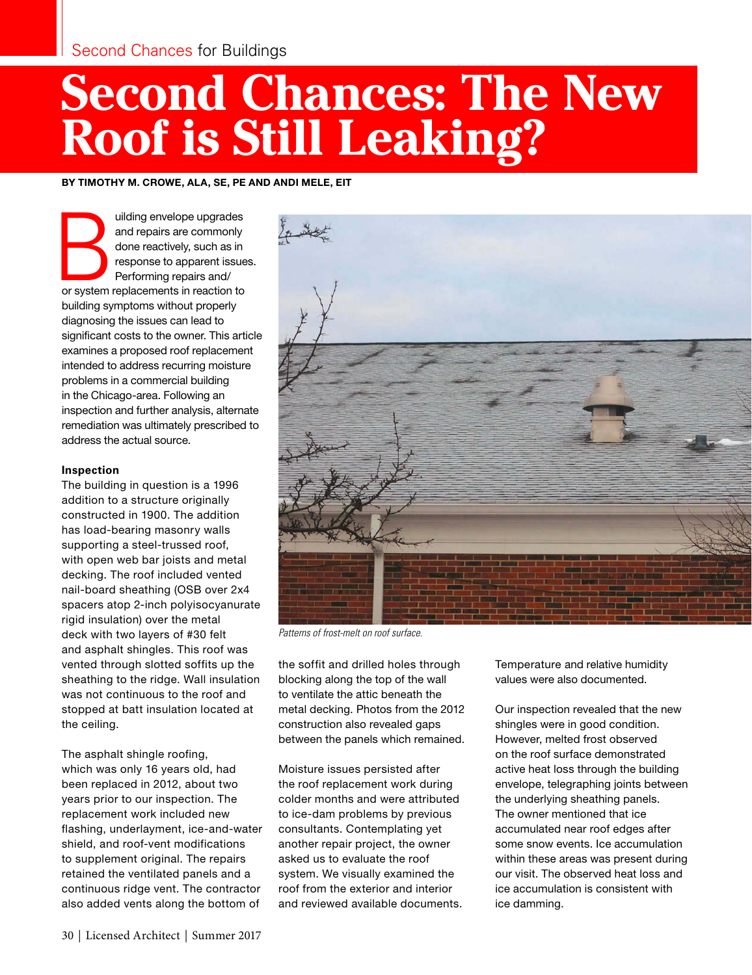# **Second Chances: The New Roof is Still Leaking?**

BY TIMOTHY M. CROWE, ALA, SE, PE AND ANDI MELE, EIT

uilding envelope upgrades<br>
and repairs are commonly<br>
done reactively, such as in<br>
response to apparent issue<br>
Performing repairs and/<br>
or system replacements in reaction to and repairs are commonly done reactively, such as in response to apparent issues. Performing repairs and/ building symptoms without properly diagnosing the issues can lead to significant costs to the owner. This article examines a proposed roof replacement intended to address recurring moisture problems in a commercial building in the Chicago-area. Following an inspection and further analysis, alternate remediation was ultimately prescribed to address the actual source.

### **Inspection**

The building in question is a 1996 addition to a structure originally constructed in 1900. The addition has load-bearing masonry walls supporting a steel-trussed roof, with open web bar joists and metal decking. The roof included vented nail-board sheathing (OSB over 2x4 spacers atop 2-inch polyisocyanurate rigid insulation) over the metal deck with two layers of #30 felt and asphalt shingles. This roof was vented through slotted soffits up the sheathing to the ridge. Wall insulation was not continuous to the roof and stopped at batt insulation located at the ceiling.

The asphalt shingle roofing, which was only 16 years old, had been replaced in 2012, about two years prior to our inspection. The replacement work included new flashing, underlayment, ice-and-water shield, and roof-vent modifications to supplement original. The repairs retained the ventilated panels and a continuous ridge vent. The contractor also added vents along the bottom of



*Patterns of frost-melt on roof surface.*

the soffit and drilled holes through blocking along the top of the wall to ventilate the attic beneath the metal decking. Photos from the 2012 construction also revealed gaps between the panels which remained.

Moisture issues persisted after the roof replacement work during colder months and were attributed to ice-dam problems by previous consultants. Contemplating yet another repair project, the owner asked us to evaluate the roof system. We visually examined the roof from the exterior and interior and reviewed available documents. Temperature and relative humidity values were also documented.

Our inspection revealed that the new shingles were in good condition. However, melted frost observed on the roof surface demonstrated active heat loss through the building envelope, telegraphing joints between the underlying sheathing panels. The owner mentioned that ice accumulated near roof edges after some snow events. Ice accumulation within these areas was present during our visit. The observed heat loss and ice accumulation is consistent with ice damming.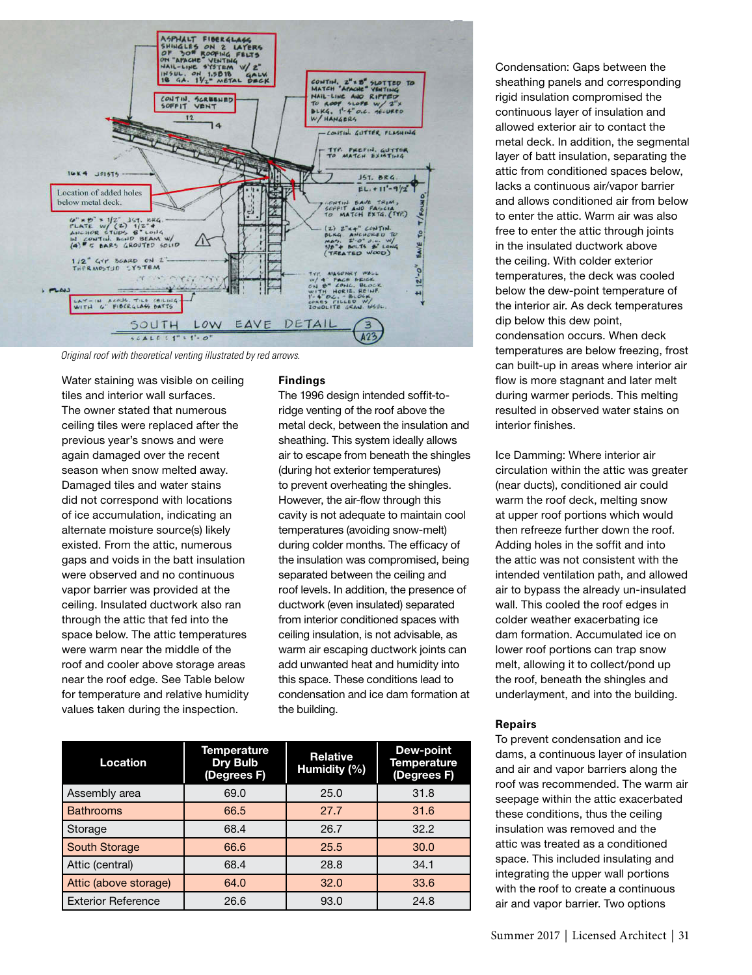

*Original roof with theoretical venting illustrated by red arrows.*

Water staining was visible on ceiling tiles and interior wall surfaces. The owner stated that numerous ceiling tiles were replaced after the previous year's snows and were again damaged over the recent season when snow melted away. Damaged tiles and water stains did not correspond with locations of ice accumulation, indicating an alternate moisture source(s) likely existed. From the attic, numerous gaps and voids in the batt insulation were observed and no continuous vapor barrier was provided at the ceiling. Insulated ductwork also ran through the attic that fed into the space below. The attic temperatures were warm near the middle of the roof and cooler above storage areas near the roof edge. See Table below for temperature and relative humidity values taken during the inspection.

#### **Findings**

The 1996 design intended soffit-toridge venting of the roof above the metal deck, between the insulation and sheathing. This system ideally allows air to escape from beneath the shingles (during hot exterior temperatures) to prevent overheating the shingles. However, the air-flow through this cavity is not adequate to maintain cool temperatures (avoiding snow-melt) during colder months. The efficacy of the insulation was compromised, being separated between the ceiling and roof levels. In addition, the presence of ductwork (even insulated) separated from interior conditioned spaces with ceiling insulation, is not advisable, as warm air escaping ductwork joints can add unwanted heat and humidity into this space. These conditions lead to condensation and ice dam formation at the building.

| Location                  | Temperature<br><b>Dry Bulb</b><br>(Degrees F) | <b>Relative</b><br>Humidity (%) | <b>Dew-point</b><br>Temperature<br>(Degrees F) |
|---------------------------|-----------------------------------------------|---------------------------------|------------------------------------------------|
| Assembly area             | 69.0                                          | 25.0                            | 31.8                                           |
| <b>Bathrooms</b>          | 66.5                                          | 27.7                            | 31.6                                           |
| Storage                   | 68.4                                          | 26.7                            | 32.2                                           |
| South Storage             | 66.6                                          | 25.5                            | 30.0                                           |
| Attic (central)           | 68.4                                          | 28.8                            | 34.1                                           |
| Attic (above storage)     | 64.0                                          | 32.0                            | 33.6                                           |
| <b>Exterior Reference</b> | 26.6                                          | 93.0                            | 24.8                                           |

Condensation: Gaps between the sheathing panels and corresponding rigid insulation compromised the continuous layer of insulation and allowed exterior air to contact the metal deck. In addition, the segmental layer of batt insulation, separating the attic from conditioned spaces below, lacks a continuous air/vapor barrier and allows conditioned air from below to enter the attic. Warm air was also free to enter the attic through joints in the insulated ductwork above the ceiling. With colder exterior temperatures, the deck was cooled below the dew-point temperature of the interior air. As deck temperatures dip below this dew point, condensation occurs. When deck temperatures are below freezing, frost can built-up in areas where interior air flow is more stagnant and later melt during warmer periods. This melting resulted in observed water stains on interior finishes.

Ice Damming: Where interior air circulation within the attic was greater (near ducts), conditioned air could warm the roof deck, melting snow at upper roof portions which would then refreeze further down the roof. Adding holes in the soffit and into the attic was not consistent with the intended ventilation path, and allowed air to bypass the already un-insulated wall. This cooled the roof edges in colder weather exacerbating ice dam formation. Accumulated ice on lower roof portions can trap snow melt, allowing it to collect/pond up the roof, beneath the shingles and underlayment, and into the building.

#### **Repairs**

To prevent condensation and ice dams, a continuous layer of insulation and air and vapor barriers along the roof was recommended. The warm air seepage within the attic exacerbated these conditions, thus the ceiling insulation was removed and the attic was treated as a conditioned space. This included insulating and integrating the upper wall portions with the roof to create a continuous air and vapor barrier. Two options